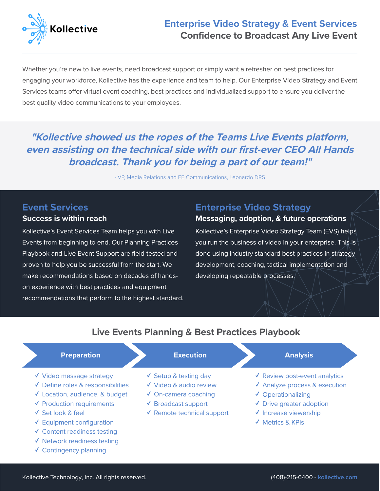

# **Enterprise Video Strategy & Event Services Confidence to Broadcast Any Live Event**

Whether you're new to live events, need broadcast support or simply want a refresher on best practices for engaging your workforce, Kollective has the experience and team to help. Our Enterprise Video Strategy and Event Services teams offer virtual event coaching, best practices and individualized support to ensure you deliver the best quality video communications to your employees.

# **"Kollective showed us the ropes of the Teams Live Events platform, even assisting on the technical side with our first-ever CEO All Hands broadcast. Thank you for being a part of our team!"**

- VP, Media Relations and EE Communications, Leonardo DRS

## **Event Services**

### **Success is within reach**

Kollective's Event Services Team helps you with Live Events from beginning to end. Our Planning Practices Playbook and Live Event Support are field-tested and proven to help you be successful from the start. We make recommendations based on decades of handson experience with best practices and equipment recommendations that perform to the highest standard.

## **Enterprise Video Strategy**

## **Messaging, adoption, & future operations**

Kollective's Enterprise Video Strategy Team (EVS) helps you run the business of video in your enterprise. This is done using industry standard best practices in strategy development, coaching, tactical implementation and developing repeatable processes.

## **Live Events Planning & Best Practices Playbook**

#### **Preparation Analysis Execution Execution Analysis**

- ✓ Video message strategy
- ✓ Define roles & responsibilities
- ✓ Location, audience, & budget
- ✓ Production requirements
- ✓ Set look & feel
- ✓ Equipment configuration
- ✓ Content readiness testing
- ✓ Network readiness testing
- ✓ Contingency planning

- ✓ Setup & testing day
- ✓ Video & audio review
- ✓ On-camera coaching
- ✓ Broadcast support
- ✓ Remote technical support
- 
- ✓ Review post-event analytics
- ✓ Analyze process & execution
- ✓ Operationalizing
- ✓ Drive greater adoption
- ✓ Increase viewership
- ✓ Metrics & KPIs